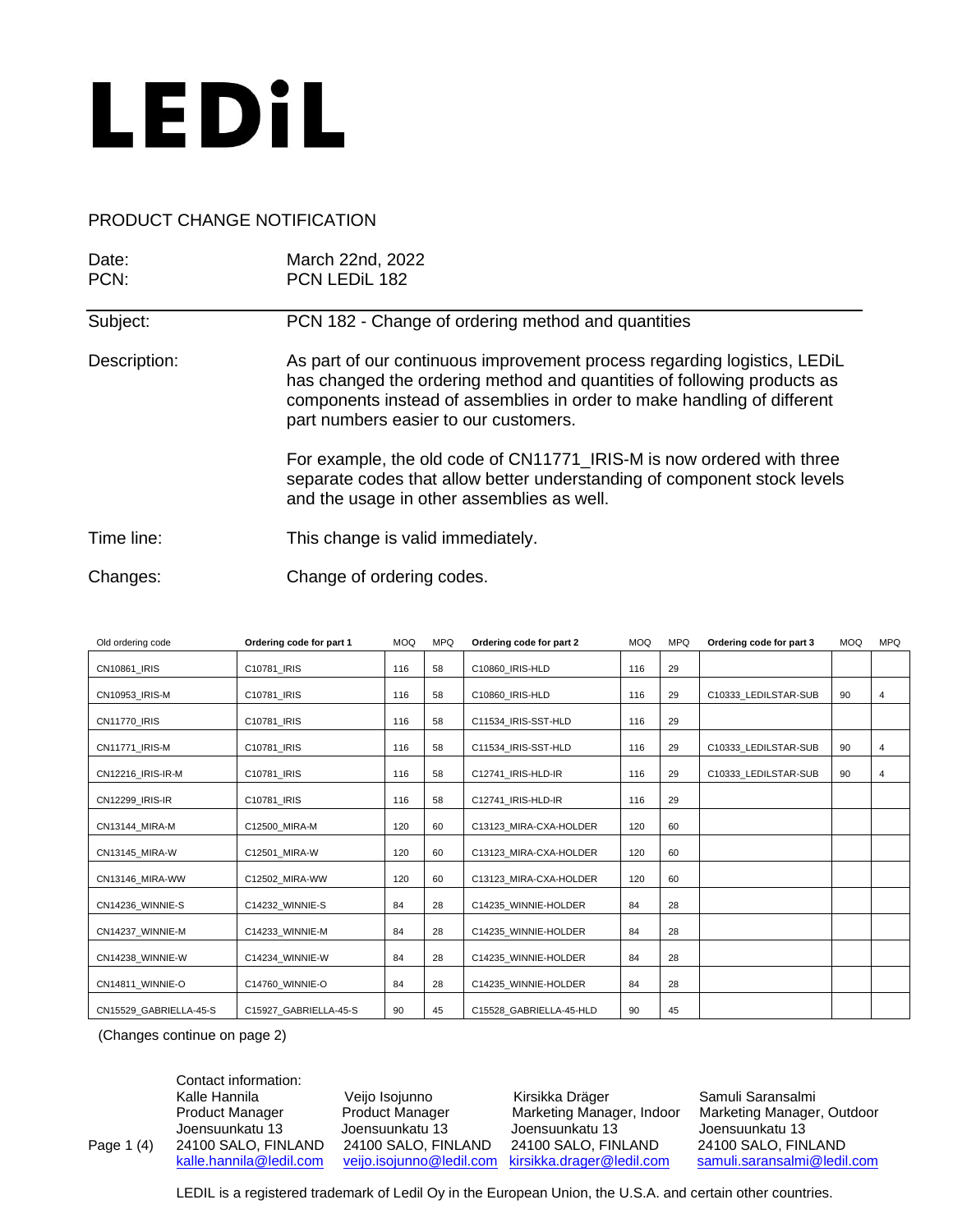

## PRODUCT CHANGE NOTIFICATION

| Date:<br>PCN: | March 22nd, 2022<br>PCN LEDIL 182                                                                                                                                                                                                                                       |
|---------------|-------------------------------------------------------------------------------------------------------------------------------------------------------------------------------------------------------------------------------------------------------------------------|
| Subject:      | PCN 182 - Change of ordering method and quantities                                                                                                                                                                                                                      |
| Description:  | As part of our continuous improvement process regarding logistics, LEDIL<br>has changed the ordering method and quantities of following products as<br>components instead of assemblies in order to make handling of different<br>part numbers easier to our customers. |
|               | For example, the old code of CN11771_IRIS-M is now ordered with three<br>separate codes that allow better understanding of component stock levels<br>and the usage in other assemblies as well.                                                                         |
| Time line:    | This change is valid immediately.                                                                                                                                                                                                                                       |
| Changes:      | Change of ordering codes.                                                                                                                                                                                                                                               |

| Old ordering code      | Ordering code for part 1 | <b>MOQ</b> | <b>MPQ</b> | Ordering code for part 2 | <b>MOQ</b> | <b>MPQ</b> | Ordering code for part 3 | <b>MOQ</b> | <b>MPQ</b> |
|------------------------|--------------------------|------------|------------|--------------------------|------------|------------|--------------------------|------------|------------|
| CN10861 IRIS           | C10781 IRIS              | 116        | 58         | C10860 IRIS-HLD          | 116        | 29         |                          |            |            |
| CN10953 IRIS-M         | C10781_IRIS              | 116        | 58         | C10860 IRIS-HLD          | 116        | 29         | C10333 LEDILSTAR-SUB     | 90         | 4          |
| <b>CN11770 IRIS</b>    | C10781 IRIS              | 116        | 58         | C11534 IRIS-SST-HLD      | 116        | 29         |                          |            |            |
| CN11771 IRIS-M         | C10781 IRIS              | 116        | 58         | C11534 IRIS-SST-HLD      | 116        | 29         | C10333 LEDILSTAR-SUB     | 90         | 4          |
| CN12216 IRIS-IR-M      | C10781 IRIS              | 116        | 58         | C12741 IRIS-HLD-IR       | 116        | 29         | C10333 LEDILSTAR-SUB     | 90         | 4          |
| CN12299 IRIS-IR        | C10781 IRIS              | 116        | 58         | C12741 IRIS-HLD-IR       | 116        | 29         |                          |            |            |
| CN13144 MIRA-M         | C12500_MIRA-M            | 120        | 60         | C13123 MIRA-CXA-HOLDER   | 120        | 60         |                          |            |            |
| CN13145 MIRA-W         | C12501 MIRA-W            | 120        | 60         | C13123 MIRA-CXA-HOLDER   | 120        | 60         |                          |            |            |
| CN13146 MIRA-WW        | C12502 MIRA-WW           | 120        | 60         | C13123 MIRA-CXA-HOLDER   | 120        | 60         |                          |            |            |
| CN14236 WINNIE-S       | C14232 WINNIE-S          | 84         | 28         | C14235 WINNIE-HOLDER     | 84         | 28         |                          |            |            |
| CN14237 WINNIE-M       | C14233 WINNIE-M          | 84         | 28         | C14235 WINNIE-HOLDER     | 84         | 28         |                          |            |            |
| CN14238 WINNIE-W       | C14234 WINNIE-W          | 84         | 28         | C14235 WINNIE-HOLDER     | 84         | 28         |                          |            |            |
| CN14811 WINNIE-O       | C14760 WINNIE-O          | 84         | 28         | C14235 WINNIE-HOLDER     | 84         | 28         |                          |            |            |
| CN15529_GABRIELLA-45-S | C15927 GABRIELLA-45-S    | 90         | 45         | C15528 GABRIELLA-45-HLD  | 90         | 45         |                          |            |            |

(Changes continue on page 2)

Contact information: Kalle Hannila **Veijo Isojunno** Kirsikka Dräger Samuli Saransalmi<br>Product Manager Product Manager Marketing Manager, Indoor Marketing Manager Product Manager **Product Manager** Marketing Manager, Indoor Marketing Manager, Outdoor Joensuunkatu 13 Joensuunkatu 13 Joensuunkatu 13 Joensuunkatu 13 Page 1 (4) 24100 SALO, FINLAND 24100 SALO, FINLAND 24100 SALO, FINLAND kalle.hannila@ledil.com veijo.isojunno@ledil.com kirsikka.drager@ledil.com [veijo.isojunno@ledil.com](mailto:veijo.isojunno@ledil.com) [kirsikka.drager@ledil.com](mailto:kirsikka.drager@ledil.com) [samuli.saransalmi@ledil.com](mailto:samuli.saransalmi@ledil.com)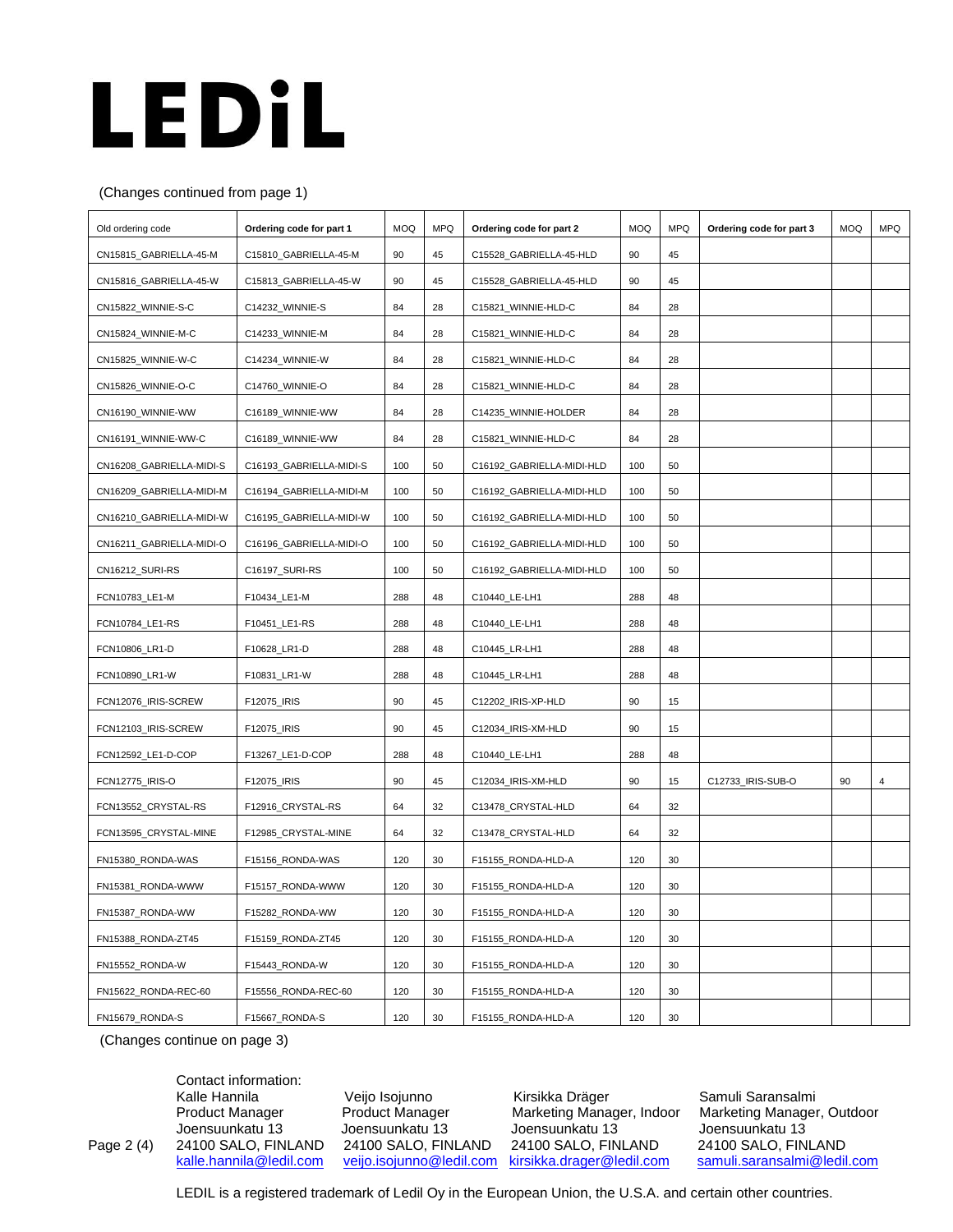## LEDIL

## (Changes continued from page 1)

| Old ordering code        | Ordering code for part 1 | <b>MOQ</b> | <b>MPQ</b> | Ordering code for part 2  | MOQ | <b>MPQ</b> | Ordering code for part 3 | <b>MOQ</b> | <b>MPQ</b> |
|--------------------------|--------------------------|------------|------------|---------------------------|-----|------------|--------------------------|------------|------------|
| CN15815_GABRIELLA-45-M   | C15810_GABRIELLA-45-M    | 90         | 45         | C15528_GABRIELLA-45-HLD   | 90  | 45         |                          |            |            |
| CN15816_GABRIELLA-45-W   | C15813_GABRIELLA-45-W    | 90         | 45         | C15528_GABRIELLA-45-HLD   | 90  | 45         |                          |            |            |
| CN15822_WINNIE-S-C       | C14232_WINNIE-S          | 84         | 28         | C15821_WINNIE-HLD-C       | 84  | 28         |                          |            |            |
| CN15824_WINNIE-M-C       | C14233_WINNIE-M          | 84         | 28         | C15821_WINNIE-HLD-C       | 84  | 28         |                          |            |            |
| CN15825_WINNIE-W-C       | C14234_WINNIE-W          | 84         | 28         | C15821_WINNIE-HLD-C       | 84  | 28         |                          |            |            |
| CN15826_WINNIE-O-C       | C14760_WINNIE-O          | 84         | 28         | C15821_WINNIE-HLD-C       | 84  | 28         |                          |            |            |
| CN16190_WINNIE-WW        | C16189_WINNIE-WW         | 84         | 28         | C14235_WINNIE-HOLDER      | 84  | 28         |                          |            |            |
| CN16191_WINNIE-WW-C      | C16189_WINNIE-WW         | 84         | 28         | C15821_WINNIE-HLD-C       | 84  | 28         |                          |            |            |
| CN16208_GABRIELLA-MIDI-S | C16193_GABRIELLA-MIDI-S  | 100        | 50         | C16192_GABRIELLA-MIDI-HLD | 100 | 50         |                          |            |            |
| CN16209_GABRIELLA-MIDI-M | C16194_GABRIELLA-MIDI-M  | 100        | 50         | C16192_GABRIELLA-MIDI-HLD | 100 | 50         |                          |            |            |
| CN16210_GABRIELLA-MIDI-W | C16195_GABRIELLA-MIDI-W  | 100        | 50         | C16192_GABRIELLA-MIDI-HLD | 100 | 50         |                          |            |            |
| CN16211_GABRIELLA-MIDI-O | C16196_GABRIELLA-MIDI-O  | 100        | 50         | C16192_GABRIELLA-MIDI-HLD | 100 | 50         |                          |            |            |
| CN16212_SURI-RS          | C16197_SURI-RS           | 100        | 50         | C16192_GABRIELLA-MIDI-HLD | 100 | 50         |                          |            |            |
| FCN10783_LE1-M           | F10434_LE1-M             | 288        | 48         | C10440_LE-LH1             | 288 | 48         |                          |            |            |
| FCN10784_LE1-RS          | F10451_LE1-RS            | 288        | 48         | C10440_LE-LH1             | 288 | 48         |                          |            |            |
| FCN10806_LR1-D           | F10628_LR1-D             | 288        | 48         | C10445_LR-LH1             | 288 | 48         |                          |            |            |
| FCN10890_LR1-W           | F10831_LR1-W             | 288        | 48         | C10445_LR-LH1             | 288 | 48         |                          |            |            |
| FCN12076_IRIS-SCREW      | F12075_IRIS              | 90         | 45         | C12202_IRIS-XP-HLD        | 90  | 15         |                          |            |            |
| FCN12103_IRIS-SCREW      | F12075_IRIS              | 90         | 45         | C12034_IRIS-XM-HLD        | 90  | 15         |                          |            |            |
| FCN12592_LE1-D-COP       | F13267_LE1-D-COP         | 288        | 48         | C10440_LE-LH1             | 288 | 48         |                          |            |            |
| FCN12775_IRIS-O          | F12075_IRIS              | 90         | 45         | C12034_IRIS-XM-HLD        | 90  | 15         | C12733_IRIS-SUB-O        | 90         | 4          |
| FCN13552_CRYSTAL-RS      | F12916_CRYSTAL-RS        | 64         | 32         | C13478_CRYSTAL-HLD        | 64  | 32         |                          |            |            |
| FCN13595_CRYSTAL-MINE    | F12985_CRYSTAL-MINE      | 64         | 32         | C13478_CRYSTAL-HLD        | 64  | 32         |                          |            |            |
| FN15380_RONDA-WAS        | F15156_RONDA-WAS         | 120        | 30         | F15155_RONDA-HLD-A        | 120 | 30         |                          |            |            |
| FN15381_RONDA-WWW        | F15157_RONDA-WWW         | 120        | 30         | F15155_RONDA-HLD-A        | 120 | 30         |                          |            |            |
| FN15387_RONDA-WW         | F15282_RONDA-WW          | 120        | 30         | F15155_RONDA-HLD-A        | 120 | 30         |                          |            |            |
| FN15388_RONDA-ZT45       | F15159_RONDA-ZT45        | 120        | 30         | F15155 RONDA-HLD-A        | 120 | 30         |                          |            |            |
| FN15552_RONDA-W          | F15443_RONDA-W           | 120        | 30         | F15155_RONDA-HLD-A        | 120 | 30         |                          |            |            |
| FN15622_RONDA-REC-60     | F15556_RONDA-REC-60      | 120        | 30         | F15155_RONDA-HLD-A        | 120 | 30         |                          |            |            |
| FN15679 RONDA-S          | F15667_RONDA-S           | 120        | 30         | F15155_RONDA-HLD-A        | 120 | 30         |                          |            |            |

(Changes continue on page 3)

Contact information: Page 2 (4) 24100 SALO, FINLAND

Kalle Hannila **Veijo Isojunno** Kirsikka Dräger Samuli Saransalmi<br>Product Manager Product Manager Marketing Manager, Indoor Marketing Manager Joensuunkatu 13 Joensuunkatu 13 Joensuunkatu 13 Joensuunkatu 13

Product Manager **Product Manager** Marketing Manager, Indoor Marketing Manager, Outdoor [kalle.hannila@ledil.com](mailto:kalle.hannila@ledil.com) [veijo.isojunno@ledil.com](mailto:veijo.isojunno@ledil.com) [kirsikka.drager@ledil.com](mailto:kirsikka.drager@ledil.com) [samuli.saransalmi@ledil.com](mailto:samuli.saransalmi@ledil.com)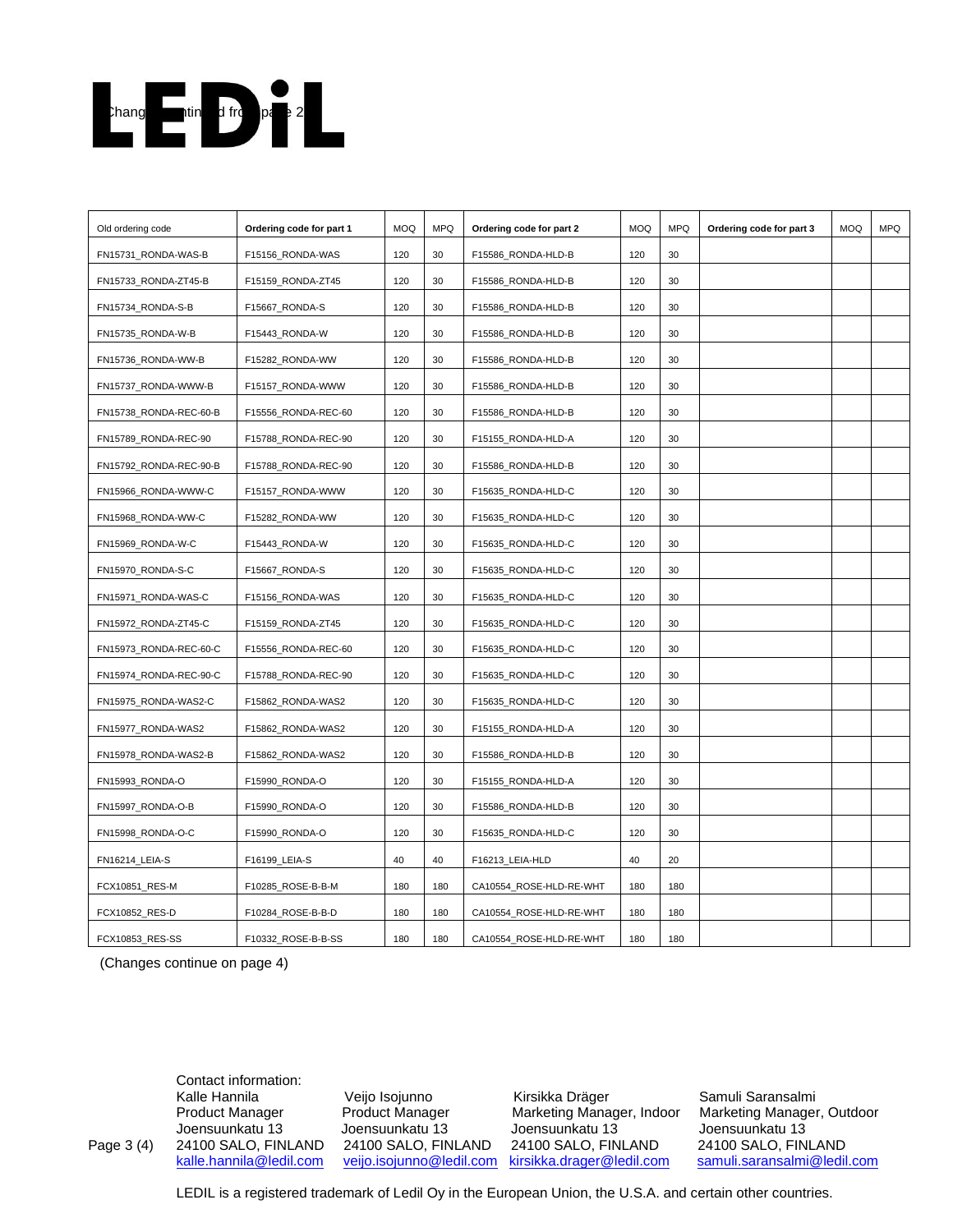

| Old ordering code      | Ordering code for part 1 | <b>MOQ</b> | <b>MPQ</b> | Ordering code for part 2 | <b>MOQ</b> | <b>MPQ</b> | Ordering code for part 3 | <b>MOQ</b> | <b>MPQ</b> |
|------------------------|--------------------------|------------|------------|--------------------------|------------|------------|--------------------------|------------|------------|
| FN15731_RONDA-WAS-B    | F15156 RONDA-WAS         | 120        | 30         | F15586_RONDA-HLD-B       | 120        | 30         |                          |            |            |
| FN15733_RONDA-ZT45-B   | F15159_RONDA-ZT45        | 120        | 30         | F15586_RONDA-HLD-B       | 120        | 30         |                          |            |            |
| FN15734_RONDA-S-B      | F15667_RONDA-S           | 120        | 30         | F15586_RONDA-HLD-B       | 120        | 30         |                          |            |            |
| FN15735_RONDA-W-B      | F15443_RONDA-W           | 120        | 30         | F15586_RONDA-HLD-B       | 120        | 30         |                          |            |            |
| FN15736 RONDA-WW-B     | F15282_RONDA-WW          | 120        | 30         | F15586_RONDA-HLD-B       | 120        | 30         |                          |            |            |
| FN15737_RONDA-WWW-B    | F15157_RONDA-WWW         | 120        | 30         | F15586_RONDA-HLD-B       | 120        | 30         |                          |            |            |
| FN15738_RONDA-REC-60-B | F15556_RONDA-REC-60      | 120        | 30         | F15586_RONDA-HLD-B       | 120        | 30         |                          |            |            |
| FN15789_RONDA-REC-90   | F15788_RONDA-REC-90      | 120        | 30         | F15155_RONDA-HLD-A       | 120        | 30         |                          |            |            |
| FN15792_RONDA-REC-90-B | F15788_RONDA-REC-90      | 120        | 30         | F15586_RONDA-HLD-B       | 120        | 30         |                          |            |            |
| FN15966_RONDA-WWW-C    | F15157_RONDA-WWW         | 120        | 30         | F15635_RONDA-HLD-C       | 120        | 30         |                          |            |            |
| FN15968_RONDA-WW-C     | F15282_RONDA-WW          | 120        | 30         | F15635_RONDA-HLD-C       | 120        | 30         |                          |            |            |
| FN15969_RONDA-W-C      | F15443_RONDA-W           | 120        | 30         | F15635_RONDA-HLD-C       | 120        | 30         |                          |            |            |
| FN15970_RONDA-S-C      | F15667_RONDA-S           | 120        | 30         | F15635_RONDA-HLD-C       | 120        | 30         |                          |            |            |
| FN15971_RONDA-WAS-C    | F15156_RONDA-WAS         | 120        | 30         | F15635_RONDA-HLD-C       | 120        | 30         |                          |            |            |
| FN15972_RONDA-ZT45-C   | F15159_RONDA-ZT45        | 120        | 30         | F15635_RONDA-HLD-C       | 120        | 30         |                          |            |            |
| FN15973_RONDA-REC-60-C | F15556_RONDA-REC-60      | 120        | 30         | F15635_RONDA-HLD-C       | 120        | 30         |                          |            |            |
| FN15974_RONDA-REC-90-C | F15788_RONDA-REC-90      | 120        | 30         | F15635_RONDA-HLD-C       | 120        | 30         |                          |            |            |
| FN15975_RONDA-WAS2-C   | F15862_RONDA-WAS2        | 120        | 30         | F15635_RONDA-HLD-C       | 120        | 30         |                          |            |            |
| FN15977 RONDA-WAS2     | F15862 RONDA-WAS2        | 120        | 30         | F15155_RONDA-HLD-A       | 120        | 30         |                          |            |            |
| FN15978_RONDA-WAS2-B   | F15862_RONDA-WAS2        | 120        | 30         | F15586_RONDA-HLD-B       | 120        | 30         |                          |            |            |
| FN15993_RONDA-O        | F15990_RONDA-O           | 120        | 30         | F15155_RONDA-HLD-A       | 120        | 30         |                          |            |            |
| FN15997_RONDA-O-B      | F15990_RONDA-O           | 120        | 30         | F15586_RONDA-HLD-B       | 120        | 30         |                          |            |            |
| FN15998_RONDA-O-C      | F15990_RONDA-O           | 120        | 30         | F15635_RONDA-HLD-C       | 120        | 30         |                          |            |            |
| FN16214_LEIA-S         | F16199_LEIA-S            | 40         | 40         | F16213_LEIA-HLD          | 40         | 20         |                          |            |            |
| FCX10851_RES-M         | F10285_ROSE-B-B-M        | 180        | 180        | CA10554_ROSE-HLD-RE-WHT  | 180        | 180        |                          |            |            |
| FCX10852_RES-D         | F10284_ROSE-B-B-D        | 180        | 180        | CA10554_ROSE-HLD-RE-WHT  | 180        | 180        |                          |            |            |
| FCX10853_RES-SS        | F10332 ROSE-B-B-SS       | 180        | 180        | CA10554_ROSE-HLD-RE-WHT  | 180        | 180        |                          |            |            |

(Changes continue on page 4)

Contact information: Page 3 (4) 24100 SALO, FINLAND 24100 SALO, FINLAND 24100 SALO, FINLAND<br>
<u>kalle.hannila@ledil.com</u> yeijo.isojunno@ledil.com kirsikka.drager@ledil.com

Kalle Hannila Veijo Isojunno Kirsikka Dräger Samuli Saransalmi<br>Product Manager Product Manager Marketing Manager, Indoor Marketing Manager Joensuunkatu 13 Joensuunkatu 13 Joensuunkatu 13 Joensuunkatu 13

Product Manager **Product Manager** Marketing Manager, Indoor Marketing Manager, Outdoor [samuli.saransalmi@ledil.com](mailto:samuli.saransalmi@ledil.com)